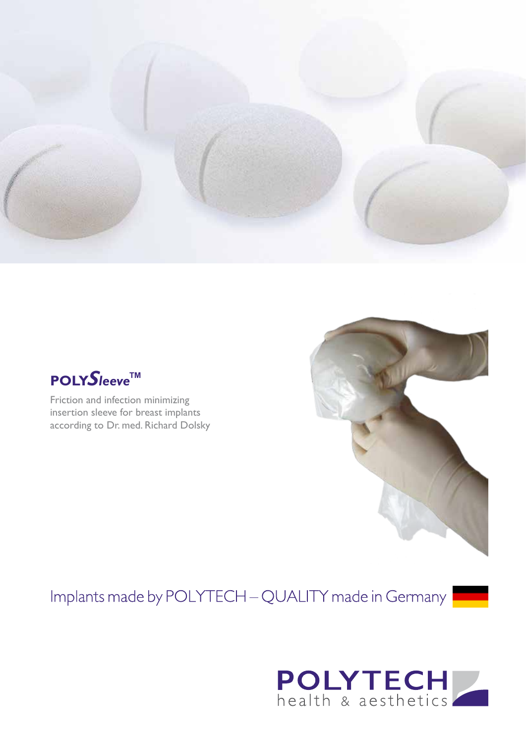



Friction and infection minimizing insertion sleeve for breast implants according to Dr. med. Richard Dolsky

## Implants made by POLYTECH - QUALITY made in Germany